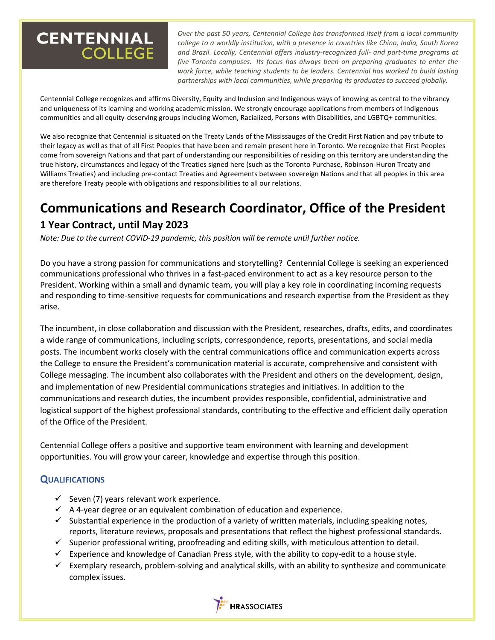# **CENTENNIAL COLLEGE**

*Over the past 50 years, Centennial College has transformed itself from a local community college to a worldly institution, with a presence in countries like China, India, South Korea and Brazil. Locally, Centennial offers industry-recognized full- and part-time programs at five Toronto campuses. Its focus has always been on preparing graduates to enter the work force, while teaching students to be leaders. Centennial has worked to build lasting partnerships with local communities, while preparing its graduates to succeed globally.*

Centennial College recognizes and affirms Diversity, Equity and Inclusion and Indigenous ways of knowing as central to the vibrancy and uniqueness of its learning and working academic mission. We strongly encourage applications from members of Indigenous communities and all equity-deserving groups including Women, Racialized, Persons with Disabilities, and LGBTQ+ communities.

We also recognize that Centennial is situated on the Treaty Lands of the Mississaugas of the Credit First Nation and pay tribute to their legacy as well as that of all First Peoples that have been and remain present here in Toronto. We recognize that First Peoples come from sovereign Nations and that part of understanding our responsibilities of residing on this territory are understanding the true history, circumstances and legacy of the Treaties signed here (such as the Toronto Purchase, Robinson-Huron Treaty and Williams Treaties) and including pre-contact Treaties and Agreements between sovereign Nations and that all peoples in this area are therefore Treaty people with obligations and responsibilities to all our relations.

# **Communications and Research Coordinator, Office of the President**

## **1 Year Contract, until May 2023**

*Note: Due to the current COVID-19 pandemic, this position will be remote until further notice.*

Do you have a strong passion for communications and storytelling? Centennial College is seeking an experienced communications professional who thrives in a fast-paced environment to act as a key resource person to the President. Working within a small and dynamic team, you will play a key role in coordinating incoming requests and responding to time-sensitive requests for communications and research expertise from the President as they arise.

The incumbent, in close collaboration and discussion with the President, researches, drafts, edits, and coordinates a wide range of communications, including scripts, correspondence, reports, presentations, and social media posts. The incumbent works closely with the central communications office and communication experts across the College to ensure the President's communication material is accurate, comprehensive and consistent with College messaging. The incumbent also collaborates with the President and others on the development, design, and implementation of new Presidential communications strategies and initiatives. In addition to the communications and research duties, the incumbent provides responsible, confidential, administrative and logistical support of the highest professional standards, contributing to the effective and efficient daily operation of the Office of the President.

Centennial College offers a positive and supportive team environment with learning and development opportunities. You will grow your career, knowledge and expertise through this position.

#### **QUALIFICATIONS**

- $\checkmark$  Seven (7) years relevant work experience.
- $\checkmark$  A 4-year degree or an equivalent combination of education and experience.
- $\checkmark$  Substantial experience in the production of a variety of written materials, including speaking notes, reports, literature reviews, proposals and presentations that reflect the highest professional standards.
- ✓ Superior professional writing, proofreading and editing skills, with meticulous attention to detail.
- $\checkmark$  Experience and knowledge of Canadian Press style, with the ability to copy-edit to a house style.
- $\checkmark$  Exemplary research, problem-solving and analytical skills, with an ability to synthesize and communicate complex issues.